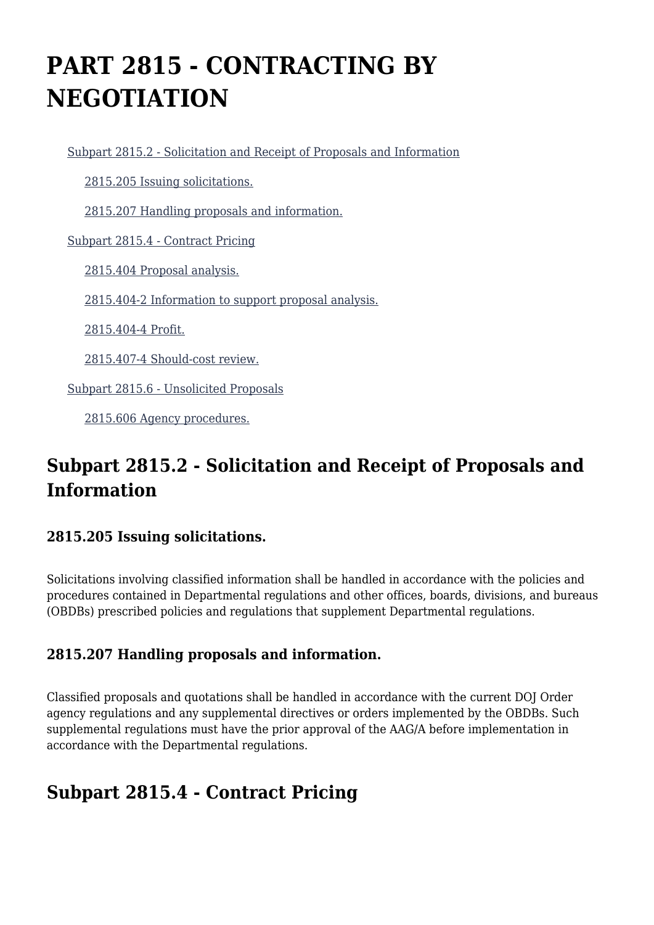# **PART 2815 - CONTRACTING BY NEGOTIATION**

[Subpart 2815.2 - Solicitation and Receipt of Proposals and Information](https://origin-www.acquisition.gov/%5Brp:link:jar-part-2815%5D#Subpart_2815_2_T48_601162151)

[2815.205 Issuing solicitations.](https://origin-www.acquisition.gov/%5Brp:link:jar-part-2815%5D#Section_2815_205_T48_60116215111)

[2815.207 Handling proposals and information.](https://origin-www.acquisition.gov/%5Brp:link:jar-part-2815%5D#Section_2815_207_T48_60116215112)

[Subpart 2815.4 - Contract Pricing](https://origin-www.acquisition.gov/%5Brp:link:jar-part-2815%5D#Subpart_2815_4_T48_601162152)

[2815.404 Proposal analysis.](https://origin-www.acquisition.gov/%5Brp:link:jar-part-2815%5D#Section_2815_404_T48_60116215211)

[2815.404-2 Information to support proposal analysis.](https://origin-www.acquisition.gov/%5Brp:link:jar-part-2815%5D#Section_2815_404_2_T48_60116215212)

[2815.404-4 Profit.](https://origin-www.acquisition.gov/%5Brp:link:jar-part-2815%5D#Section_2815_404_4_T48_60116215213)

[2815.407-4 Should-cost review.](https://origin-www.acquisition.gov/%5Brp:link:jar-part-2815%5D#Section_2815_407_4_T48_60116215214)

[Subpart 2815.6 - Unsolicited Proposals](https://origin-www.acquisition.gov/%5Brp:link:jar-part-2815%5D#Subpart_2815_6_T48_601162153)

[2815.606 Agency procedures.](https://origin-www.acquisition.gov/%5Brp:link:jar-part-2815%5D#Section_2815_606_T48_60116215311)

## **Subpart 2815.2 - Solicitation and Receipt of Proposals and Information**

#### **2815.205 Issuing solicitations.**

Solicitations involving classified information shall be handled in accordance with the policies and procedures contained in Departmental regulations and other offices, boards, divisions, and bureaus (OBDBs) prescribed policies and regulations that supplement Departmental regulations.

#### **2815.207 Handling proposals and information.**

Classified proposals and quotations shall be handled in accordance with the current DOJ Order agency regulations and any supplemental directives or orders implemented by the OBDBs. Such supplemental regulations must have the prior approval of the AAG/A before implementation in accordance with the Departmental regulations.

## **Subpart 2815.4 - Contract Pricing**